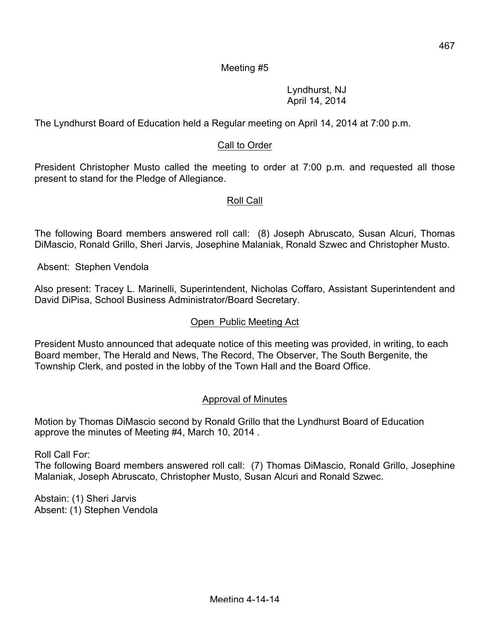### Meeting #5

Lyndhurst, NJ April 14, 2014

The Lyndhurst Board of Education held a Regular meeting on April 14, 2014 at 7:00 p.m.

### Call to Order

President Christopher Musto called the meeting to order at 7:00 p.m. and requested all those present to stand for the Pledge of Allegiance.

#### Roll Call

The following Board members answered roll call: (8) Joseph Abruscato, Susan Alcuri, Thomas DiMascio, Ronald Grillo, Sheri Jarvis, Josephine Malaniak, Ronald Szwec and Christopher Musto.

Absent: Stephen Vendola

Also present: Tracey L. Marinelli, Superintendent, Nicholas Coffaro, Assistant Superintendent and David DiPisa, School Business Administrator/Board Secretary.

#### Open Public Meeting Act

President Musto announced that adequate notice of this meeting was provided, in writing, to each Board member, The Herald and News, The Record, The Observer, The South Bergenite, the Township Clerk, and posted in the lobby of the Town Hall and the Board Office.

#### Approval of Minutes

Motion by Thomas DiMascio second by Ronald Grillo that the Lyndhurst Board of Education approve the minutes of Meeting #4, March 10, 2014 .

Roll Call For:

The following Board members answered roll call: (7) Thomas DiMascio, Ronald Grillo, Josephine Malaniak, Joseph Abruscato, Christopher Musto, Susan Alcuri and Ronald Szwec.

Abstain: (1) Sheri Jarvis Absent: (1) Stephen Vendola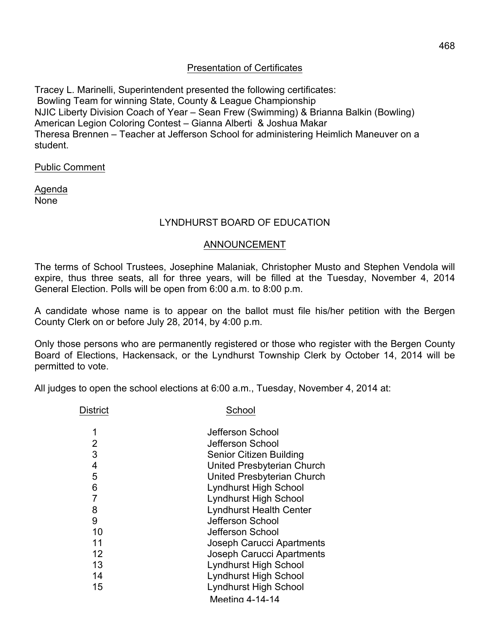# Presentation of Certificates

Tracey L. Marinelli, Superintendent presented the following certificates: Bowling Team for winning State, County & League Championship NJIC Liberty Division Coach of Year – Sean Frew (Swimming) & Brianna Balkin (Bowling) American Legion Coloring Contest – Gianna Alberti & Joshua Makar Theresa Brennen – Teacher at Jefferson School for administering Heimlich Maneuver on a student.

Public Comment

Agenda None

# LYNDHURST BOARD OF EDUCATION

#### ANNOUNCEMENT

The terms of School Trustees, Josephine Malaniak, Christopher Musto and Stephen Vendola will expire, thus three seats, all for three years, will be filled at the Tuesday, November 4, 2014 General Election. Polls will be open from 6:00 a.m. to 8:00 p.m.

A candidate whose name is to appear on the ballot must file his/her petition with the Bergen County Clerk on or before July 28, 2014, by 4:00 p.m.

Only those persons who are permanently registered or those who register with the Bergen County Board of Elections, Hackensack, or the Lyndhurst Township Clerk by October 14, 2014 will be permitted to vote.

All judges to open the school elections at 6:00 a.m., Tuesday, November 4, 2014 at:

District School

|    | Jefferson School                 |
|----|----------------------------------|
| 2  | Jefferson School                 |
| 3  | <b>Senior Citizen Building</b>   |
| 4  | United Presbyterian Church       |
| 5  | United Presbyterian Church       |
| 6  | <b>Lyndhurst High School</b>     |
|    | <b>Lyndhurst High School</b>     |
| 8  | <b>Lyndhurst Health Center</b>   |
| 9  | Jefferson School                 |
| 10 | Jefferson School                 |
| 11 | Joseph Carucci Apartments        |
| 12 | <b>Joseph Carucci Apartments</b> |
| 13 | <b>Lyndhurst High School</b>     |
| 14 | <b>Lyndhurst High School</b>     |
| 15 | <b>Lyndhurst High School</b>     |
|    | Meeting 4-14-14                  |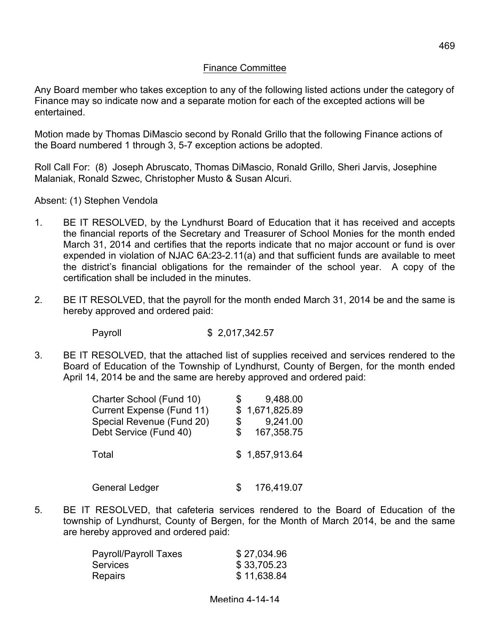#### Finance Committee

Any Board member who takes exception to any of the following listed actions under the category of Finance may so indicate now and a separate motion for each of the excepted actions will be entertained.

Motion made by Thomas DiMascio second by Ronald Grillo that the following Finance actions of the Board numbered 1 through 3, 5-7 exception actions be adopted.

Roll Call For: (8) Joseph Abruscato, Thomas DiMascio, Ronald Grillo, Sheri Jarvis, Josephine Malaniak, Ronald Szwec, Christopher Musto & Susan Alcuri.

Absent: (1) Stephen Vendola

- 1. BE IT RESOLVED, by the Lyndhurst Board of Education that it has received and accepts the financial reports of the Secretary and Treasurer of School Monies for the month ended March 31, 2014 and certifies that the reports indicate that no major account or fund is over expended in violation of NJAC 6A:23-2.11(a) and that sufficient funds are available to meet the district's financial obligations for the remainder of the school year. A copy of the certification shall be included in the minutes.
- 2. BE IT RESOLVED, that the payroll for the month ended March 31, 2014 be and the same is hereby approved and ordered paid:

Payroll \$ 2,017,342.57

3. BE IT RESOLVED, that the attached list of supplies received and services rendered to the Board of Education of the Township of Lyndhurst, County of Bergen, for the month ended April 14, 2014 be and the same are hereby approved and ordered paid:

| Charter School (Fund 10)  | 9,488.00         |
|---------------------------|------------------|
| Current Expense (Fund 11) | \$1,671,825.89   |
| Special Revenue (Fund 20) | \$<br>9,241.00   |
| Debt Service (Fund 40)    | \$<br>167,358.75 |
| Total                     | \$1,857,913.64   |
| <b>General Ledger</b>     | 176,419.07       |

5. BE IT RESOLVED, that cafeteria services rendered to the Board of Education of the township of Lyndhurst, County of Bergen, for the Month of March 2014, be and the same are hereby approved and ordered paid:

| Payroll/Payroll Taxes | \$27,034.96 |
|-----------------------|-------------|
| <b>Services</b>       | \$33,705.23 |
| <b>Repairs</b>        | \$11,638.84 |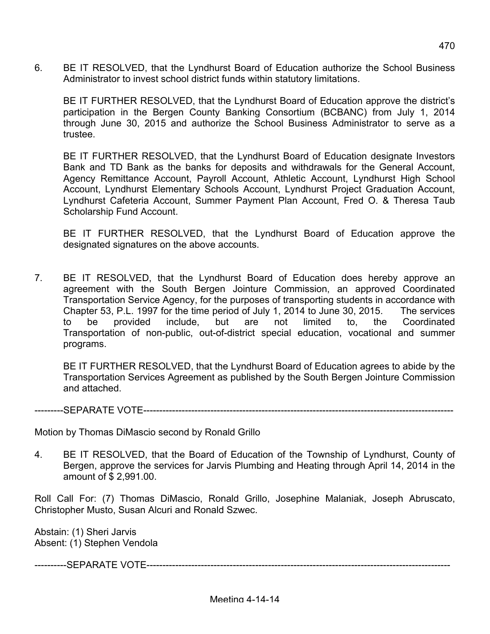6. BE IT RESOLVED, that the Lyndhurst Board of Education authorize the School Business Administrator to invest school district funds within statutory limitations.

BE IT FURTHER RESOLVED, that the Lyndhurst Board of Education approve the district's participation in the Bergen County Banking Consortium (BCBANC) from July 1, 2014 through June 30, 2015 and authorize the School Business Administrator to serve as a trustee.

BE IT FURTHER RESOLVED, that the Lyndhurst Board of Education designate Investors Bank and TD Bank as the banks for deposits and withdrawals for the General Account, Agency Remittance Account, Payroll Account, Athletic Account, Lyndhurst High School Account, Lyndhurst Elementary Schools Account, Lyndhurst Project Graduation Account, Lyndhurst Cafeteria Account, Summer Payment Plan Account, Fred O. & Theresa Taub Scholarship Fund Account.

BE IT FURTHER RESOLVED, that the Lyndhurst Board of Education approve the designated signatures on the above accounts.

7. BE IT RESOLVED, that the Lyndhurst Board of Education does hereby approve an agreement with the South Bergen Jointure Commission, an approved Coordinated Transportation Service Agency, for the purposes of transporting students in accordance with Chapter 53, P.L. 1997 for the time period of July 1, 2014 to June 30, 2015. The services to be provided include, but are not limited to, the Coordinated Transportation of non-public, out-of-district special education, vocational and summer programs.

BE IT FURTHER RESOLVED, that the Lyndhurst Board of Education agrees to abide by the Transportation Services Agreement as published by the South Bergen Jointure Commission and attached.

---------SEPARATE VOTE-------------------------------------------------------------------------------------------------

Motion by Thomas DiMascio second by Ronald Grillo

4. BE IT RESOLVED, that the Board of Education of the Township of Lyndhurst, County of Bergen, approve the services for Jarvis Plumbing and Heating through April 14, 2014 in the amount of \$ 2,991.00.

Roll Call For: (7) Thomas DiMascio, Ronald Grillo, Josephine Malaniak, Joseph Abruscato, Christopher Musto, Susan Alcuri and Ronald Szwec.

Abstain: (1) Sheri Jarvis Absent: (1) Stephen Vendola

----------SEPARATE VOTE-----------------------------------------------------------------------------------------------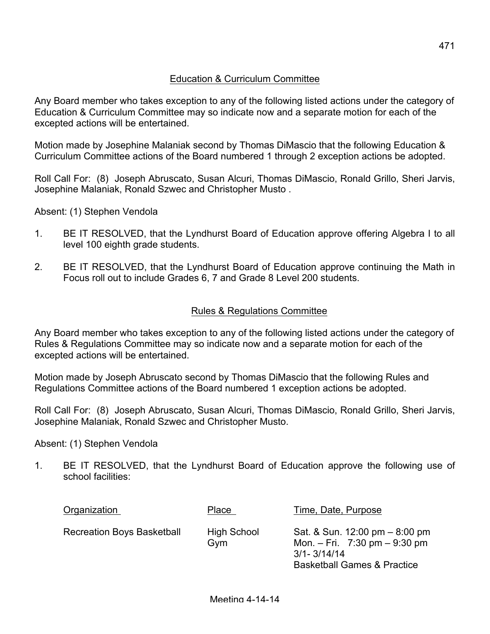Any Board member who takes exception to any of the following listed actions under the category of Education & Curriculum Committee may so indicate now and a separate motion for each of the excepted actions will be entertained.

Motion made by Josephine Malaniak second by Thomas DiMascio that the following Education & Curriculum Committee actions of the Board numbered 1 through 2 exception actions be adopted.

Roll Call For: (8) Joseph Abruscato, Susan Alcuri, Thomas DiMascio, Ronald Grillo, Sheri Jarvis, Josephine Malaniak, Ronald Szwec and Christopher Musto .

Absent: (1) Stephen Vendola

- 1. BE IT RESOLVED, that the Lyndhurst Board of Education approve offering Algebra I to all level 100 eighth grade students.
- 2. BE IT RESOLVED, that the Lyndhurst Board of Education approve continuing the Math in Focus roll out to include Grades 6, 7 and Grade 8 Level 200 students.

### Rules & Regulations Committee

Any Board member who takes exception to any of the following listed actions under the category of Rules & Regulations Committee may so indicate now and a separate motion for each of the excepted actions will be entertained.

Motion made by Joseph Abruscato second by Thomas DiMascio that the following Rules and Regulations Committee actions of the Board numbered 1 exception actions be adopted.

Roll Call For: (8) Joseph Abruscato, Susan Alcuri, Thomas DiMascio, Ronald Grillo, Sheri Jarvis, Josephine Malaniak, Ronald Szwec and Christopher Musto.

#### Absent: (1) Stephen Vendola

1. BE IT RESOLVED, that the Lyndhurst Board of Education approve the following use of school facilities:

| Organization                      | Place                     | Time, Date, Purpose                                                                                                              |
|-----------------------------------|---------------------------|----------------------------------------------------------------------------------------------------------------------------------|
| <b>Recreation Boys Basketball</b> | <b>High School</b><br>Gvm | Sat. & Sun. 12:00 pm – 8:00 pm<br>Mon. $-$ Fri. 7:30 pm $-$ 9:30 pm<br>$3/1 - 3/14/14$<br><b>Basketball Games &amp; Practice</b> |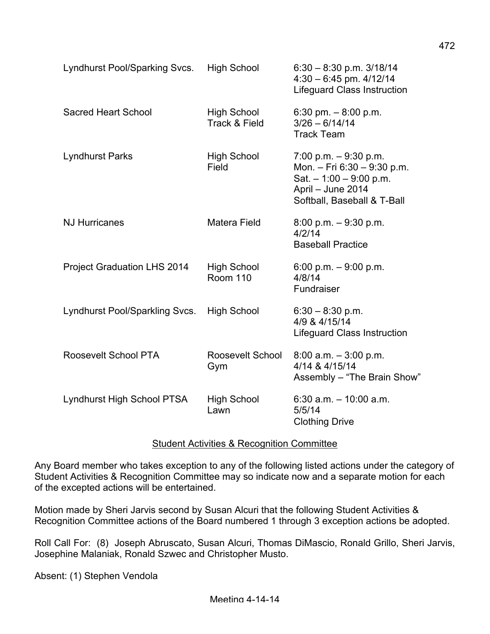| Lyndhurst Pool/Sparking Svcs.      | <b>High School</b>                    | $6.30 - 8.30$ p.m. $3/18/14$<br>$4.30 - 6.45$ pm. $4/12/14$<br><b>Lifeguard Class Instruction</b>                                       |
|------------------------------------|---------------------------------------|-----------------------------------------------------------------------------------------------------------------------------------------|
| <b>Sacred Heart School</b>         | <b>High School</b><br>Track & Field   | 6:30 pm. $-8:00$ p.m.<br>$3/26 - 6/14/14$<br><b>Track Team</b>                                                                          |
| <b>Lyndhurst Parks</b>             | <b>High School</b><br>Field           | $7:00$ p.m. $-9:30$ p.m.<br>Mon. - Fri 6:30 - 9:30 p.m.<br>Sat. $-1:00 - 9:00$ p.m.<br>April - June 2014<br>Softball, Baseball & T-Ball |
| <b>NJ Hurricanes</b>               | Matera Field                          | $8:00$ p.m. $-9:30$ p.m.<br>4/2/14<br><b>Baseball Practice</b>                                                                          |
| <b>Project Graduation LHS 2014</b> | <b>High School</b><br><b>Room 110</b> | 6:00 p.m. $-9:00$ p.m.<br>4/8/14<br>Fundraiser                                                                                          |
| Lyndhurst Pool/Sparkling Svcs.     | <b>High School</b>                    | $6:30 - 8:30$ p.m.<br>4/9 & 4/15/14<br><b>Lifeguard Class Instruction</b>                                                               |
| Roosevelt School PTA               | Roosevelt School<br>Gym               | $8:00$ a.m. $-3:00$ p.m.<br>4/14 & 4/15/14<br>Assembly - "The Brain Show"                                                               |
| Lyndhurst High School PTSA         | <b>High School</b><br>Lawn            | $6:30$ a.m. $-10:00$ a.m.<br>5/5/14<br><b>Clothing Drive</b>                                                                            |

#### Student Activities & Recognition Committee

Any Board member who takes exception to any of the following listed actions under the category of Student Activities & Recognition Committee may so indicate now and a separate motion for each of the excepted actions will be entertained.

Motion made by Sheri Jarvis second by Susan Alcuri that the following Student Activities & Recognition Committee actions of the Board numbered 1 through 3 exception actions be adopted.

Roll Call For: (8) Joseph Abruscato, Susan Alcuri, Thomas DiMascio, Ronald Grillo, Sheri Jarvis, Josephine Malaniak, Ronald Szwec and Christopher Musto.

Absent: (1) Stephen Vendola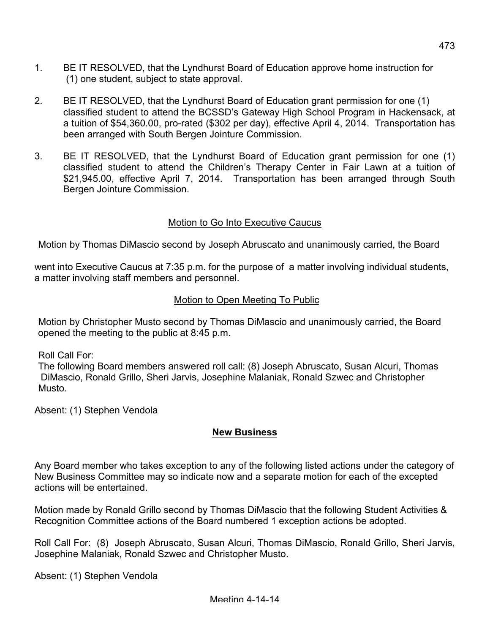- 1. BE IT RESOLVED, that the Lyndhurst Board of Education approve home instruction for (1) one student, subject to state approval.
- 2. BE IT RESOLVED, that the Lyndhurst Board of Education grant permission for one (1) classified student to attend the BCSSD's Gateway High School Program in Hackensack, at a tuition of \$54,360.00, pro-rated (\$302 per day), effective April 4, 2014. Transportation has been arranged with South Bergen Jointure Commission.
- 3. BE IT RESOLVED, that the Lyndhurst Board of Education grant permission for one (1) classified student to attend the Children's Therapy Center in Fair Lawn at a tuition of \$21,945.00, effective April 7, 2014. Transportation has been arranged through South Bergen Jointure Commission.

# Motion to Go Into Executive Caucus

Motion by Thomas DiMascio second by Joseph Abruscato and unanimously carried, the Board

went into Executive Caucus at 7:35 p.m. for the purpose of a matter involving individual students, a matter involving staff members and personnel.

### Motion to Open Meeting To Public

Motion by Christopher Musto second by Thomas DiMascio and unanimously carried, the Board opened the meeting to the public at 8:45 p.m.

Roll Call For:

The following Board members answered roll call: (8) Joseph Abruscato, Susan Alcuri, Thomas DiMascio, Ronald Grillo, Sheri Jarvis, Josephine Malaniak, Ronald Szwec and Christopher Musto.

Absent: (1) Stephen Vendola

#### **New Business**

Any Board member who takes exception to any of the following listed actions under the category of New Business Committee may so indicate now and a separate motion for each of the excepted actions will be entertained.

Motion made by Ronald Grillo second by Thomas DiMascio that the following Student Activities & Recognition Committee actions of the Board numbered 1 exception actions be adopted.

Roll Call For: (8) Joseph Abruscato, Susan Alcuri, Thomas DiMascio, Ronald Grillo, Sheri Jarvis, Josephine Malaniak, Ronald Szwec and Christopher Musto.

Absent: (1) Stephen Vendola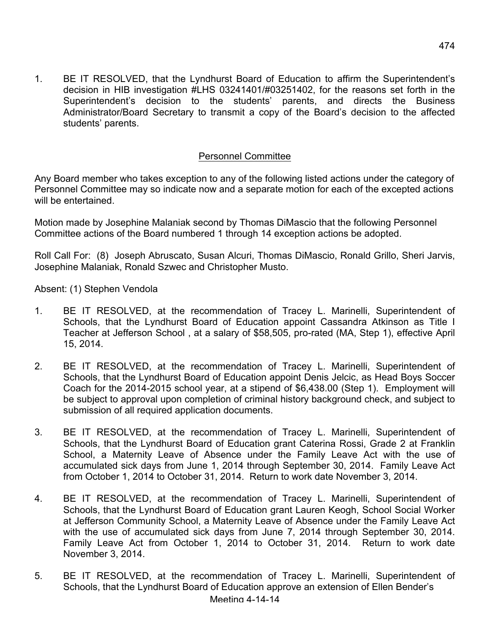1. BE IT RESOLVED, that the Lyndhurst Board of Education to affirm the Superintendent's decision in HIB investigation #LHS 03241401/#03251402, for the reasons set forth in the Superintendent's decision to the students' parents, and directs the Business Administrator/Board Secretary to transmit a copy of the Board's decision to the affected students' parents.

# Personnel Committee

Any Board member who takes exception to any of the following listed actions under the category of Personnel Committee may so indicate now and a separate motion for each of the excepted actions will be entertained.

Motion made by Josephine Malaniak second by Thomas DiMascio that the following Personnel Committee actions of the Board numbered 1 through 14 exception actions be adopted.

Roll Call For: (8) Joseph Abruscato, Susan Alcuri, Thomas DiMascio, Ronald Grillo, Sheri Jarvis, Josephine Malaniak, Ronald Szwec and Christopher Musto.

Absent: (1) Stephen Vendola

- 1. BE IT RESOLVED, at the recommendation of Tracey L. Marinelli, Superintendent of Schools, that the Lyndhurst Board of Education appoint Cassandra Atkinson as Title I Teacher at Jefferson School , at a salary of \$58,505, pro-rated (MA, Step 1), effective April 15, 2014.
- 2. BE IT RESOLVED, at the recommendation of Tracey L. Marinelli, Superintendent of Schools, that the Lyndhurst Board of Education appoint Denis Jelcic, as Head Boys Soccer Coach for the 2014-2015 school year, at a stipend of \$6,438.00 (Step 1). Employment will be subject to approval upon completion of criminal history background check, and subject to submission of all required application documents.
- 3. BE IT RESOLVED, at the recommendation of Tracey L. Marinelli, Superintendent of Schools, that the Lyndhurst Board of Education grant Caterina Rossi, Grade 2 at Franklin School, a Maternity Leave of Absence under the Family Leave Act with the use of accumulated sick days from June 1, 2014 through September 30, 2014. Family Leave Act from October 1, 2014 to October 31, 2014. Return to work date November 3, 2014.
- 4. BE IT RESOLVED, at the recommendation of Tracey L. Marinelli, Superintendent of Schools, that the Lyndhurst Board of Education grant Lauren Keogh, School Social Worker at Jefferson Community School, a Maternity Leave of Absence under the Family Leave Act with the use of accumulated sick days from June 7, 2014 through September 30, 2014. Family Leave Act from October 1, 2014 to October 31, 2014. Return to work date November 3, 2014.
- 5. BE IT RESOLVED, at the recommendation of Tracey L. Marinelli, Superintendent of Schools, that the Lyndhurst Board of Education approve an extension of Ellen Bender's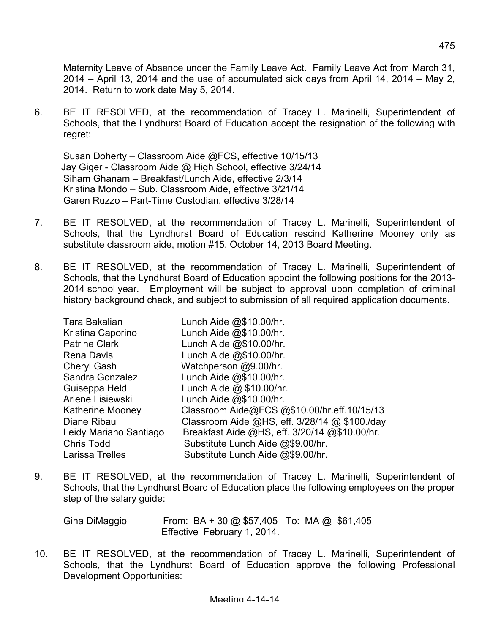Maternity Leave of Absence under the Family Leave Act. Family Leave Act from March 31, 2014 – April 13, 2014 and the use of accumulated sick days from April 14, 2014 – May 2, 2014. Return to work date May 5, 2014.

6. BE IT RESOLVED, at the recommendation of Tracey L. Marinelli, Superintendent of Schools, that the Lyndhurst Board of Education accept the resignation of the following with regret:

Susan Doherty – Classroom Aide @FCS, effective 10/15/13 Jay Giger - Classroom Aide @ High School, effective 3/24/14 Siham Ghanam – Breakfast/Lunch Aide, effective 2/3/14 Kristina Mondo – Sub. Classroom Aide, effective 3/21/14 Garen Ruzzo – Part-Time Custodian, effective 3/28/14

- 7. BE IT RESOLVED, at the recommendation of Tracey L. Marinelli, Superintendent of Schools, that the Lyndhurst Board of Education rescind Katherine Mooney only as substitute classroom aide, motion #15, October 14, 2013 Board Meeting.
- 8. BE IT RESOLVED, at the recommendation of Tracey L. Marinelli, Superintendent of Schools, that the Lyndhurst Board of Education appoint the following positions for the 2013- 2014 school year. Employment will be subject to approval upon completion of criminal history background check, and subject to submission of all required application documents.

| Tara Bakalian           | Lunch Aide $@$10.00/hr$ .                     |
|-------------------------|-----------------------------------------------|
| Kristina Caporino       | Lunch Aide @\$10.00/hr.                       |
| <b>Patrine Clark</b>    | Lunch Aide @\$10.00/hr.                       |
| <b>Rena Davis</b>       | Lunch Aide $@$10.00/hr$ .                     |
| Cheryl Gash             | Watchperson @9.00/hr.                         |
| Sandra Gonzalez         | Lunch Aide @\$10.00/hr.                       |
| Guiseppa Held           | Lunch Aide @ \$10.00/hr.                      |
| Arlene Lisiewski        | Lunch Aide $@$10.00/hr$ .                     |
| <b>Katherine Mooney</b> | Classroom Aide@FCS @\$10.00/hr.eff.10/15/13   |
| Diane Ribau             | Classroom Aide @HS, eff. 3/28/14 @ \$100./day |
| Leidy Mariano Santiago  | Breakfast Aide @HS, eff. 3/20/14 @\$10.00/hr. |
| <b>Chris Todd</b>       | Substitute Lunch Aide @\$9.00/hr.             |
| Larissa Trelles         | Substitute Lunch Aide @\$9.00/hr.             |

9. BE IT RESOLVED, at the recommendation of Tracey L. Marinelli, Superintendent of Schools, that the Lyndhurst Board of Education place the following employees on the proper step of the salary guide:

Gina DiMaggio From: BA + 30 @ \$57,405 To: MA @ \$61,405 Effective February 1, 2014.

10. BE IT RESOLVED, at the recommendation of Tracey L. Marinelli, Superintendent of Schools, that the Lyndhurst Board of Education approve the following Professional Development Opportunities: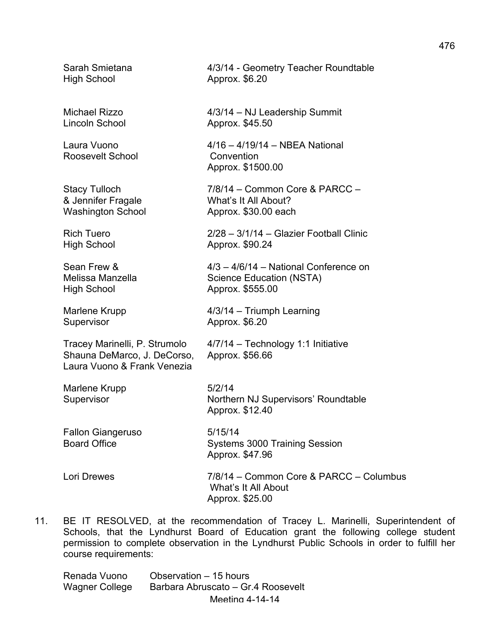High School **Approx.** \$6.20

Roosevelt School Convention

High School **Approx.** \$555.00

Shauna DeMarco, J. DeCorso, Approx. \$56.66 Laura Vuono & Frank Venezia

Marlene Krupp 5/2/14 Supervisor **Northern NJ Supervisors' Roundtable** 

Fallon Giangeruso 5/15/14

Lori Drewes 7/8/14 – Common Core & PARCC – Columbus What's It All About Approx. \$25.00

11. BE IT RESOLVED, at the recommendation of Tracey L. Marinelli, Superintendent of Schools, that the Lyndhurst Board of Education grant the following college student permission to complete observation in the Lyndhurst Public Schools in order to fulfill her course requirements:

Approx. \$12.40

Meeting 4-14-14 Renada Vuono Observation – 15 hours Wagner College Barbara Abruscato – Gr.4 Roosevelt

Sarah Smietana 4/3/14 - Geometry Teacher Roundtable

Michael Rizzo 4/3/14 – NJ Leadership Summit Lincoln School Approx. \$45.50

Laura Vuono 4/16 – 4/19/14 – NBEA National Approx. \$1500.00

Stacy Tulloch 7/8/14 – Common Core & PARCC – & Jennifer Fragale What's It All About? Washington School **Approx.** \$30.00 each

Rich Tuero 2/28 – 3/1/14 – Glazier Football Clinic High School **Approx.** \$90.24

Sean Frew & 4/3 – 4/6/14 – National Conference on Melissa Manzella Science Education (NSTA)

Marlene Krupp **4/3/14** – Triumph Learning Supervisor **Approx.** \$6.20

Tracey Marinelli, P. Strumolo 4/7/14 – Technology 1:1 Initiative

Board Office Systems 3000 Training Session

Approx. \$47.96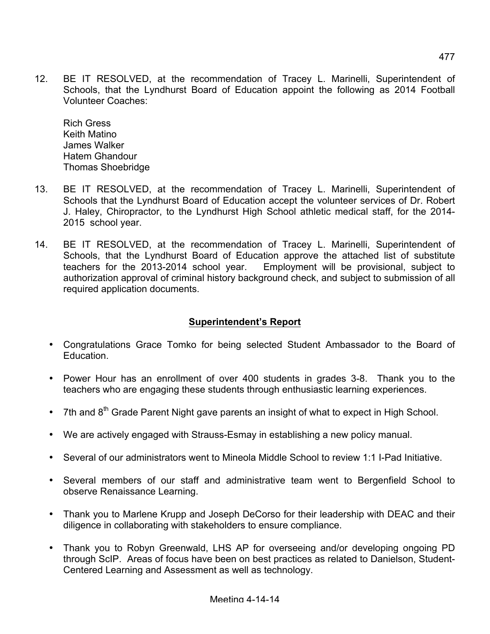12. BE IT RESOLVED, at the recommendation of Tracey L. Marinelli, Superintendent of Schools, that the Lyndhurst Board of Education appoint the following as 2014 Football Volunteer Coaches:

Rich Gress Keith Matino James Walker Hatem Ghandour Thomas Shoebridge

- 13. BE IT RESOLVED, at the recommendation of Tracey L. Marinelli, Superintendent of Schools that the Lyndhurst Board of Education accept the volunteer services of Dr. Robert J. Haley, Chiropractor, to the Lyndhurst High School athletic medical staff, for the 2014- 2015 school year.
- 14. BE IT RESOLVED, at the recommendation of Tracey L. Marinelli, Superintendent of Schools, that the Lyndhurst Board of Education approve the attached list of substitute teachers for the 2013-2014 school year. Employment will be provisional, subject to authorization approval of criminal history background check, and subject to submission of all required application documents.

# **Superintendent's Report**

- Congratulations Grace Tomko for being selected Student Ambassador to the Board of Education.
- Power Hour has an enrollment of over 400 students in grades 3-8. Thank you to the teachers who are engaging these students through enthusiastic learning experiences.
- 7th and  $8<sup>th</sup>$  Grade Parent Night gave parents an insight of what to expect in High School.
- We are actively engaged with Strauss-Esmay in establishing a new policy manual.
- Several of our administrators went to Mineola Middle School to review 1:1 I-Pad Initiative.
- Several members of our staff and administrative team went to Bergenfield School to observe Renaissance Learning.
- Thank you to Marlene Krupp and Joseph DeCorso for their leadership with DEAC and their diligence in collaborating with stakeholders to ensure compliance.
- Thank you to Robyn Greenwald, LHS AP for overseeing and/or developing ongoing PD through ScIP. Areas of focus have been on best practices as related to Danielson, Student-Centered Learning and Assessment as well as technology.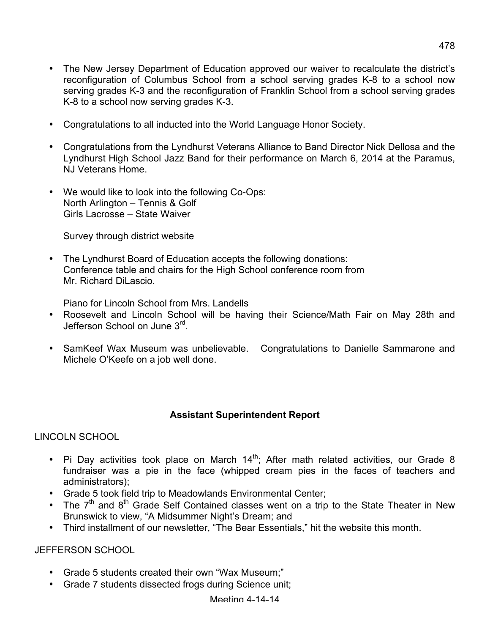- The New Jersey Department of Education approved our waiver to recalculate the district's reconfiguration of Columbus School from a school serving grades K-8 to a school now serving grades K-3 and the reconfiguration of Franklin School from a school serving grades K-8 to a school now serving grades K-3.
- Congratulations to all inducted into the World Language Honor Society.
- Congratulations from the Lyndhurst Veterans Alliance to Band Director Nick Dellosa and the Lyndhurst High School Jazz Band for their performance on March 6, 2014 at the Paramus, NJ Veterans Home.
- We would like to look into the following Co-Ops: North Arlington – Tennis & Golf Girls Lacrosse – State Waiver

Survey through district website

• The Lyndhurst Board of Education accepts the following donations: Conference table and chairs for the High School conference room from Mr. Richard DiLascio.

Piano for Lincoln School from Mrs. Landells

- Roosevelt and Lincoln School will be having their Science/Math Fair on May 28th and Jefferson School on June 3rd.
- SamKeef Wax Museum was unbelievable. Congratulations to Danielle Sammarone and Michele O'Keefe on a job well done.

# **Assistant Superintendent Report**

LINCOLN SCHOOL

- Pi Day activities took place on March  $14^{\text{th}}$ ; After math related activities, our Grade 8 fundraiser was a pie in the face (whipped cream pies in the faces of teachers and administrators);
- Grade 5 took field trip to Meadowlands Environmental Center;
- The  $7<sup>th</sup>$  and  $8<sup>th</sup>$  Grade Self Contained classes went on a trip to the State Theater in New Brunswick to view, "A Midsummer Night's Dream; and
- Third installment of our newsletter, "The Bear Essentials," hit the website this month.

JEFFERSON SCHOOL

- Grade 5 students created their own "Wax Museum;"
- Grade 7 students dissected frogs during Science unit;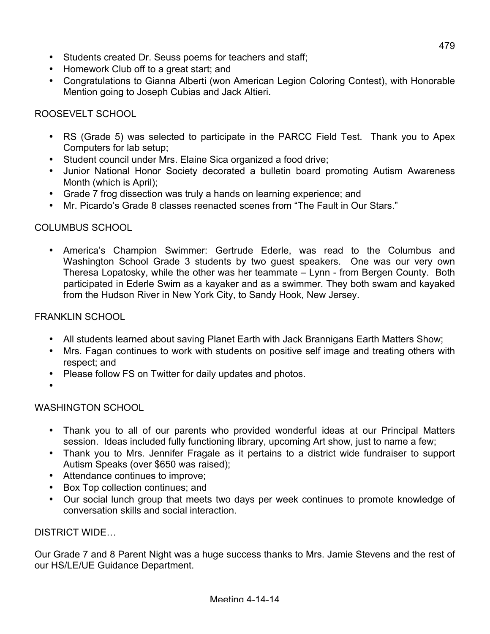- Students created Dr. Seuss poems for teachers and staff;
- Homework Club off to a great start; and
- Congratulations to Gianna Alberti (won American Legion Coloring Contest), with Honorable Mention going to Joseph Cubias and Jack Altieri.

# ROOSEVELT SCHOOL

- RS (Grade 5) was selected to participate in the PARCC Field Test. Thank you to Apex Computers for lab setup;
- Student council under Mrs. Elaine Sica organized a food drive;
- Junior National Honor Society decorated a bulletin board promoting Autism Awareness Month (which is April);
- Grade 7 frog dissection was truly a hands on learning experience; and
- Mr. Picardo's Grade 8 classes reenacted scenes from "The Fault in Our Stars."

# COLUMBUS SCHOOL

• America's Champion Swimmer: Gertrude Ederle, was read to the Columbus and Washington School Grade 3 students by two guest speakers. One was our very own Theresa Lopatosky, while the other was her teammate – Lynn - from Bergen County. Both participated in Ederle Swim as a kayaker and as a swimmer. They both swam and kayaked from the Hudson River in New York City, to Sandy Hook, New Jersey.

# FRANKLIN SCHOOL

- All students learned about saving Planet Earth with Jack Brannigans Earth Matters Show;
- Mrs. Fagan continues to work with students on positive self image and treating others with respect; and
- Please follow FS on Twitter for daily updates and photos.
- •

# WASHINGTON SCHOOL

- Thank you to all of our parents who provided wonderful ideas at our Principal Matters session. Ideas included fully functioning library, upcoming Art show, just to name a few;
- Thank you to Mrs. Jennifer Fragale as it pertains to a district wide fundraiser to support Autism Speaks (over \$650 was raised);
- Attendance continues to improve;
- Box Top collection continues; and
- Our social lunch group that meets two days per week continues to promote knowledge of conversation skills and social interaction.

# DISTRICT WIDE…

Our Grade 7 and 8 Parent Night was a huge success thanks to Mrs. Jamie Stevens and the rest of our HS/LE/UE Guidance Department.